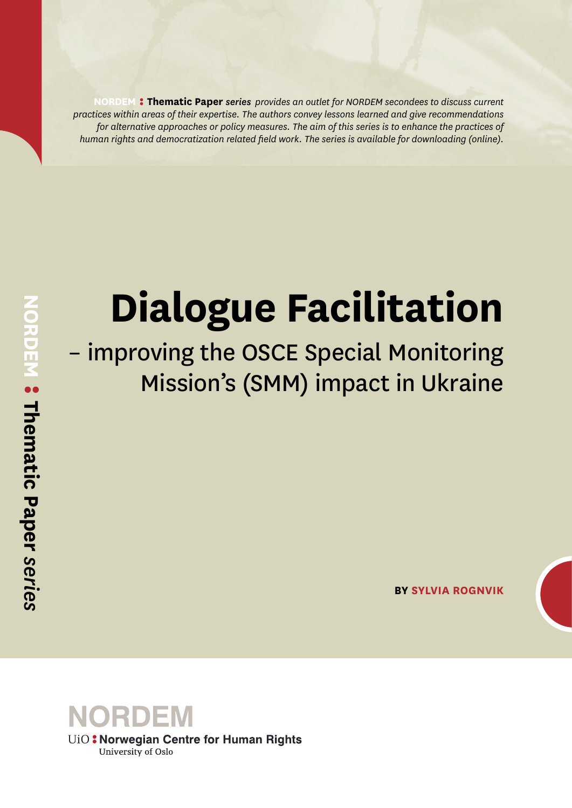**NORDEM Thematic Paper** *series provides an outlet for NORDEM secondees to discuss current practices within areas of their expertise. The authors convey lessons learned and give recommendations for alternative approaches or policy measures. The aim of this series is to enhance the practices of human rights and democratization related field work. The series is available for downloading (online).*

# **Dialogue Facilitation**

# – improving the OSCE Special Monitoring Mission's (SMM) impact in Ukraine

**BY SYLVIA ROGNVIK**

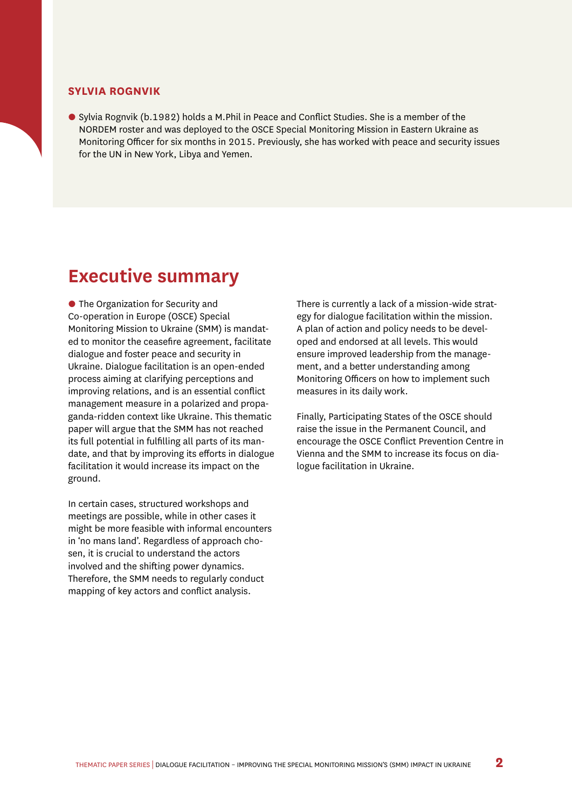#### **SYLVIA ROGNVIK**

• Sylvia Rognvik (b.1982) holds a M.Phil in Peace and Conflict Studies. She is a member of the NORDEM roster and was deployed to the OSCE Special Monitoring Mission in Eastern Ukraine as Monitoring Officer for six months in 2015. Previously, she has worked with peace and security issues for the UN in New York, Libya and Yemen.

#### **Executive summary**

• The Organization for Security and Co-operation in Europe (OSCE) Special Monitoring Mission to Ukraine (SMM) is mandated to monitor the ceasefire agreement, facilitate dialogue and foster peace and security in Ukraine. Dialogue facilitation is an open-ended process aiming at clarifying perceptions and improving relations, and is an essential conflict management measure in a polarized and propaganda-ridden context like Ukraine. This thematic paper will argue that the SMM has not reached its full potential in fulfilling all parts of its mandate, and that by improving its efforts in dialogue facilitation it would increase its impact on the ground.

In certain cases, structured workshops and meetings are possible, while in other cases it might be more feasible with informal encounters in 'no mans land'. Regardless of approach chosen, it is crucial to understand the actors involved and the shifting power dynamics. Therefore, the SMM needs to regularly conduct mapping of key actors and conflict analysis.

There is currently a lack of a mission-wide strategy for dialogue facilitation within the mission. A plan of action and policy needs to be developed and endorsed at all levels. This would ensure improved leadership from the management, and a better understanding among Monitoring Officers on how to implement such measures in its daily work.

Finally, Participating States of the OSCE should raise the issue in the Permanent Council, and encourage the OSCE Conflict Prevention Centre in Vienna and the SMM to increase its focus on dialogue facilitation in Ukraine.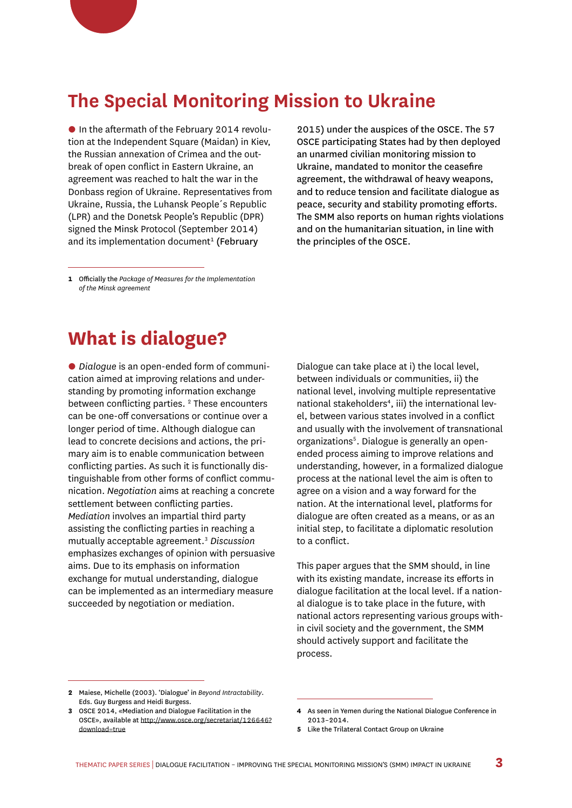#### **The Special Monitoring Mission to Ukraine**

• In the aftermath of the February 2014 revolution at the Independent Square (Maidan) in Kiev, the Russian annexation of Crimea and the outbreak of open conflict in Eastern Ukraine, an agreement was reached to halt the war in the Donbass region of Ukraine. Representatives from Ukraine, Russia, the Luhansk People´s Republic (LPR) and the Donetsk People's Republic (DPR) signed the Minsk Protocol (September 2014) and its implementation document<sup>1</sup> (February

2015) under the auspices of the OSCE. The 57 OSCE participating States had by then deployed an unarmed civilian monitoring mission to Ukraine, mandated to monitor the ceasefire agreement, the withdrawal of heavy weapons, and to reduce tension and facilitate dialogue as peace, security and stability promoting efforts. The SMM also reports on human rights violations and on the humanitarian situation, in line with the principles of the OSCE.

**1** Officially the *Package of Measures for the Implementation of the Minsk agreement* 

#### **What is dialogue?**

• *Dialogue* is an open-ended form of communication aimed at improving relations and understanding by promoting information exchange between conflicting parties.<sup>2</sup> These encounters can be one-off conversations or continue over a longer period of time. Although dialogue can lead to concrete decisions and actions, the primary aim is to enable communication between conflicting parties. As such it is functionally distinguishable from other forms of conflict communication. *Negotiation* aims at reaching a concrete settlement between conflicting parties. *Mediation* involves an impartial third party assisting the conflicting parties in reaching a mutually acceptable agreement.3 *Discussion* emphasizes exchanges of opinion with persuasive aims. Due to its emphasis on information exchange for mutual understanding, dialogue can be implemented as an intermediary measure succeeded by negotiation or mediation.

Dialogue can take place at i) the local level, between individuals or communities, ii) the national level, involving multiple representative national stakeholders<sup>4</sup>, iii) the international level, between various states involved in a conflict and usually with the involvement of transnational organizations<sup>5</sup>. Dialogue is generally an openended process aiming to improve relations and understanding, however, in a formalized dialogue process at the national level the aim is often to agree on a vision and a way forward for the nation. At the international level, platforms for dialogue are often created as a means, or as an initial step, to facilitate a diplomatic resolution to a conflict.

This paper argues that the SMM should, in line with its existing mandate, increase its efforts in dialogue facilitation at the local level. If a national dialogue is to take place in the future, with national actors representing various groups within civil society and the government, the SMM should actively support and facilitate the process.

**<sup>2</sup>** Maiese, Michelle (2003). 'Dialogue' in *Beyond Intractability*. Eds. Guy Burgess and Heidi Burgess.

**<sup>3</sup>** OSCE 2014, «Mediation and Dialogue Facilitation in the OSCE», available at [http://www.osce.org/secretariat/126646?](http://www.osce.org/secretariat/126646?download=true) [download=true](http://www.osce.org/secretariat/126646?download=true)

**<sup>4</sup>** As seen in Yemen during the National Dialogue Conference in 2013–2014.

**<sup>5</sup>** Like the Trilateral Contact Group on Ukraine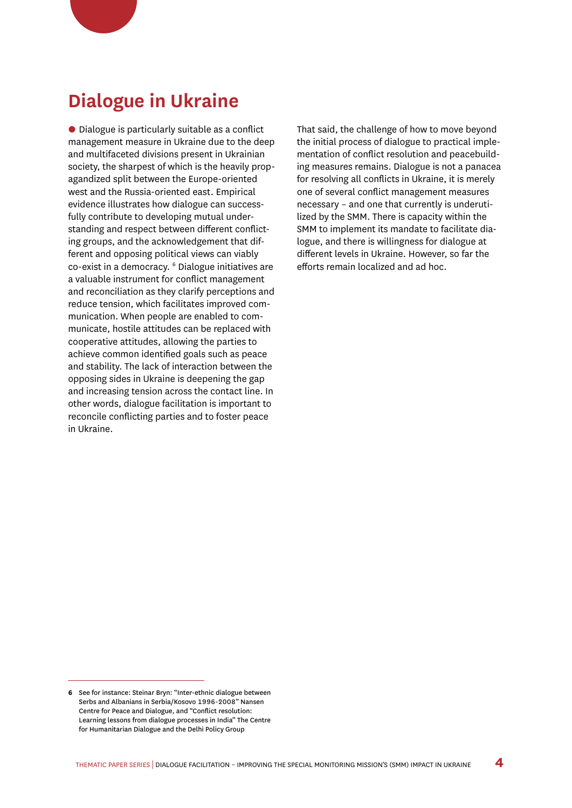### **Dialogue in Ukraine**

• Dialogue is particularly suitable as a conflict management measure in Ukraine due to the deep and multifaceted divisions present in Ukrainian society, the sharpest of which is the heavily propagandized split between the Europe-oriented west and the Russia-oriented east. Empirical evidence illustrates how dialogue can successfully contribute to developing mutual understanding and respect between different conflicting groups, and the acknowledgement that different and opposing political views can viably co-exist in a democracy. <sup>6</sup> Dialogue initiatives are a valuable instrument for conflict management and reconciliation as they clarify perceptions and reduce tension, which facilitates improved communication. When people are enabled to communicate, hostile attitudes can be replaced with cooperative attitudes, allowing the parties to achieve common identified goals such as peace and stability. The lack of interaction between the opposing sides in Ukraine is deepening the gap and increasing tension across the contact line. In other words, dialogue facilitation is important to reconcile conflicting parties and to foster peace in Ukraine.

That said, the challenge of how to move beyond the initial process of dialogue to practical implementation of conflict resolution and peacebuilding measures remains. Dialogue is not a panacea for resolving all conflicts in Ukraine, it is merely one of several conflict management measures necessary – and one that currently is underutilized by the SMM. There is capacity within the SMM to implement its mandate to facilitate dialogue, and there is willingness for dialogue at different levels in Ukraine. However, so far the efforts remain localized and ad hoc.

**<sup>6</sup>** See for instance: Steinar Bryn: "Inter-ethnic dialogue between Serbs and Albanians in Serbia/Kosovo 1996-2008" Nansen Centre for Peace and Dialogue, and "Conflict resolution: Learning lessons from dialogue processes in India" The Centre for Humanitarian Dialogue and the Delhi Policy Group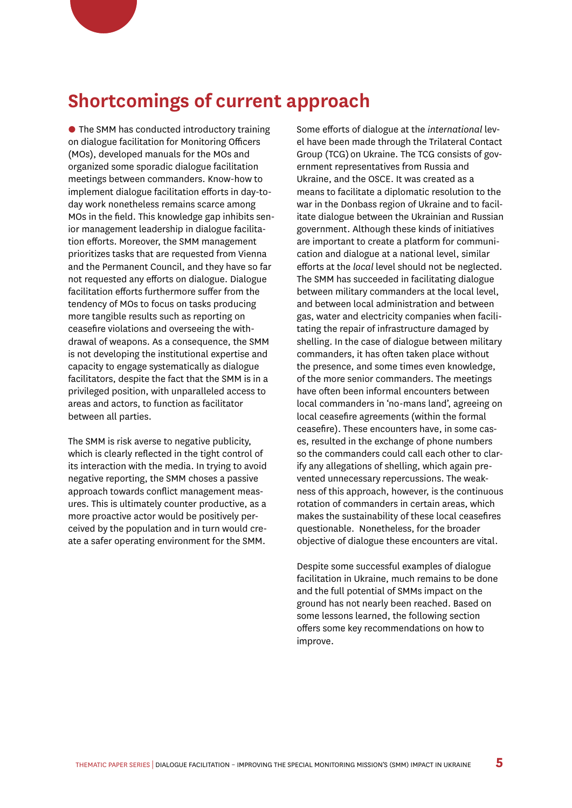### **Shortcomings of current approach**

• The SMM has conducted introductory training on dialogue facilitation for Monitoring Officers (MOs), developed manuals for the MOs and organized some sporadic dialogue facilitation meetings between commanders. Know-how to implement dialogue facilitation efforts in day-today work nonetheless remains scarce among MOs in the field. This knowledge gap inhibits senior management leadership in dialogue facilitation efforts. Moreover, the SMM management prioritizes tasks that are requested from Vienna and the Permanent Council, and they have so far not requested any efforts on dialogue. Dialogue facilitation efforts furthermore suffer from the tendency of MOs to focus on tasks producing more tangible results such as reporting on ceasefire violations and overseeing the withdrawal of weapons. As a consequence, the SMM is not developing the institutional expertise and capacity to engage systematically as dialogue facilitators, despite the fact that the SMM is in a privileged position, with unparalleled access to areas and actors, to function as facilitator between all parties.

The SMM is risk averse to negative publicity, which is clearly reflected in the tight control of its interaction with the media. In trying to avoid negative reporting, the SMM choses a passive approach towards conflict management measures. This is ultimately counter productive, as a more proactive actor would be positively perceived by the population and in turn would create a safer operating environment for the SMM.

Some efforts of dialogue at the *international* level have been made through the Trilateral Contact Group (TCG) on Ukraine. The TCG consists of government representatives from Russia and Ukraine, and the OSCE. It was created as a means to facilitate a diplomatic resolution to the war in the Donbass region of Ukraine and to facilitate dialogue between the Ukrainian and Russian government. Although these kinds of initiatives are important to create a platform for communication and dialogue at a national level, similar efforts at the *local* level should not be neglected. The SMM has succeeded in facilitating dialogue between military commanders at the local level, and between local administration and between gas, water and electricity companies when facilitating the repair of infrastructure damaged by shelling. In the case of dialogue between military commanders, it has often taken place without the presence, and some times even knowledge, of the more senior commanders. The meetings have often been informal encounters between local commanders in 'no-mans land', agreeing on local ceasefire agreements (within the formal ceasefire). These encounters have, in some cases, resulted in the exchange of phone numbers so the commanders could call each other to clarify any allegations of shelling, which again prevented unnecessary repercussions. The weakness of this approach, however, is the continuous rotation of commanders in certain areas, which makes the sustainability of these local ceasefires questionable. Nonetheless, for the broader objective of dialogue these encounters are vital.

Despite some successful examples of dialogue facilitation in Ukraine, much remains to be done and the full potential of SMMs impact on the ground has not nearly been reached. Based on some lessons learned, the following section offers some key recommendations on how to improve.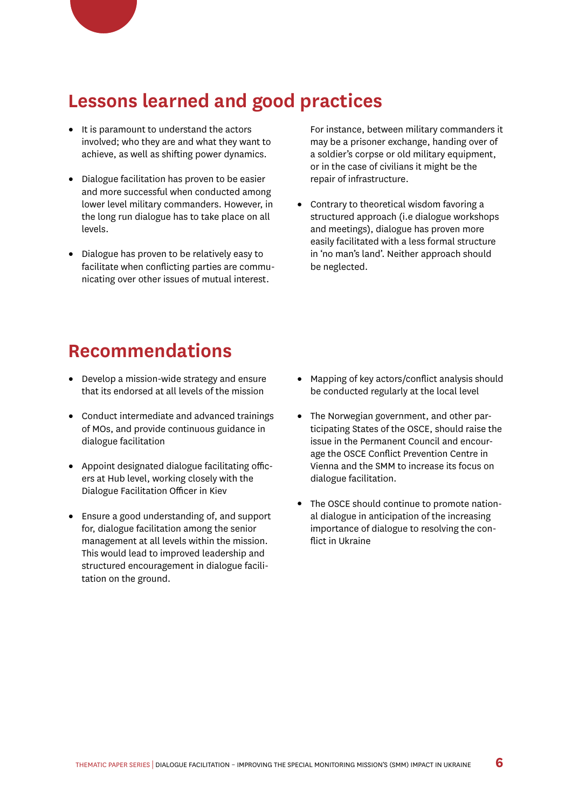#### **Lessons learned and good practices**

- **•** It is paramount to understand the actors involved; who they are and what they want to achieve, as well as shifting power dynamics.
- **•** Dialogue facilitation has proven to be easier and more successful when conducted among lower level military commanders. However, in the long run dialogue has to take place on all levels.
- **•** Dialogue has proven to be relatively easy to facilitate when conflicting parties are communicating over other issues of mutual interest.

For instance, between military commanders it may be a prisoner exchange, handing over of a soldier's corpse or old military equipment, or in the case of civilians it might be the repair of infrastructure.

**•** Contrary to theoretical wisdom favoring a structured approach (i.e dialogue workshops and meetings), dialogue has proven more easily facilitated with a less formal structure in 'no man's land'. Neither approach should be neglected.

#### **Recommendations**

- **•** Develop a mission-wide strategy and ensure that its endorsed at all levels of the mission
- **•** Conduct intermediate and advanced trainings of MOs, and provide continuous guidance in dialogue facilitation
- **•** Appoint designated dialogue facilitating officers at Hub level, working closely with the Dialogue Facilitation Officer in Kiev
- **•** Ensure a good understanding of, and support for, dialogue facilitation among the senior management at all levels within the mission. This would lead to improved leadership and structured encouragement in dialogue facilitation on the ground.
- **•** Mapping of key actors/conflict analysis should be conducted regularly at the local level
- **•** The Norwegian government, and other participating States of the OSCE, should raise the issue in the Permanent Council and encourage the OSCE Conflict Prevention Centre in Vienna and the SMM to increase its focus on dialogue facilitation.
- **•** The OSCE should continue to promote national dialogue in anticipation of the increasing importance of dialogue to resolving the conflict in Ukraine